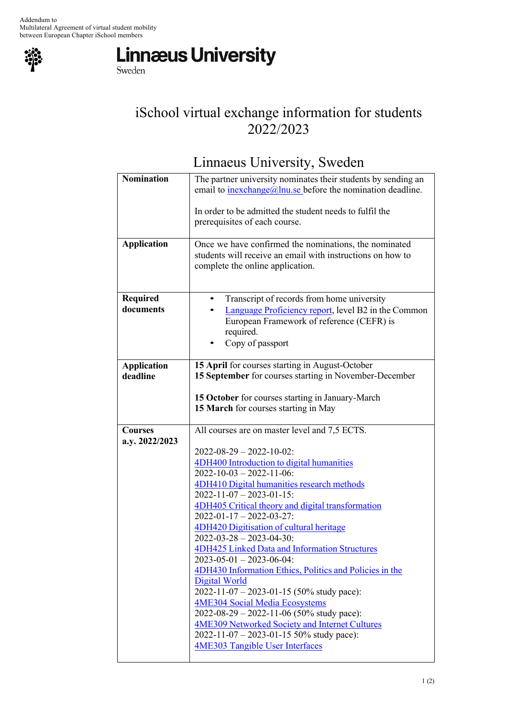

between European Chapter iSchool members<br>
Sweden<br>
Sweden

## iSchool virtual exchange information for students 2022/2023

Linnaeus University, Sweden

| <b>Nomination</b>              | The partner university nominates their students by sending an<br>email to $\frac{inexchange(0)}{inu, se}$ before the nomination deadline.                                                                                                                                                                                                                                                                                                                                                                                                                                                                                                                                                                                                                                                                                                                          |
|--------------------------------|--------------------------------------------------------------------------------------------------------------------------------------------------------------------------------------------------------------------------------------------------------------------------------------------------------------------------------------------------------------------------------------------------------------------------------------------------------------------------------------------------------------------------------------------------------------------------------------------------------------------------------------------------------------------------------------------------------------------------------------------------------------------------------------------------------------------------------------------------------------------|
|                                | In order to be admitted the student needs to fulfil the<br>prerequisites of each course.                                                                                                                                                                                                                                                                                                                                                                                                                                                                                                                                                                                                                                                                                                                                                                           |
| <b>Application</b>             | Once we have confirmed the nominations, the nominated<br>students will receive an email with instructions on how to<br>complete the online application.                                                                                                                                                                                                                                                                                                                                                                                                                                                                                                                                                                                                                                                                                                            |
| <b>Required</b><br>documents   | Transcript of records from home university<br>Language Proficiency report, level B2 in the Common<br>European Framework of reference (CEFR) is<br>required.<br>Copy of passport                                                                                                                                                                                                                                                                                                                                                                                                                                                                                                                                                                                                                                                                                    |
| <b>Application</b><br>deadline | 15 April for courses starting in August-October<br>15 September for courses starting in November-December                                                                                                                                                                                                                                                                                                                                                                                                                                                                                                                                                                                                                                                                                                                                                          |
|                                | 15 October for courses starting in January-March<br>15 March for courses starting in May                                                                                                                                                                                                                                                                                                                                                                                                                                                                                                                                                                                                                                                                                                                                                                           |
| <b>Courses</b>                 | All courses are on master level and 7,5 ECTS.                                                                                                                                                                                                                                                                                                                                                                                                                                                                                                                                                                                                                                                                                                                                                                                                                      |
| a.y. 2022/2023                 | $2022 - 08 - 29 - 2022 - 10 - 02$ :<br>4DH400 Introduction to digital humanities<br>$2022 - 10 - 03 - 2022 - 11 - 06$ :<br>4DH410 Digital humanities research methods<br>$2022 - 11 - 07 - 2023 - 01 - 15$ :<br>4DH405 Critical theory and digital transformation<br>$2022 - 01 - 17 - 2022 - 03 - 27$ :<br>4DH420 Digitisation of cultural heritage<br>$2022 - 03 - 28 - 2023 - 04 - 30$ :<br><b>4DH425 Linked Data and Information Structures</b><br>$2023 - 05 - 01 - 2023 - 06 - 04$ :<br>4DH430 Information Ethics, Politics and Policies in the<br><b>Digital World</b><br>2022-11-07 - 2023-01-15 (50% study pace):<br><b>4ME304 Social Media Ecosystems</b><br>$2022 - 08 - 29 - 2022 - 11 - 06$ (50% study pace):<br>4ME309 Networked Society and Internet Cultures<br>2022-11-07 - 2023-01-15 50% study pace):<br><b>4ME303 Tangible User Interfaces</b> |